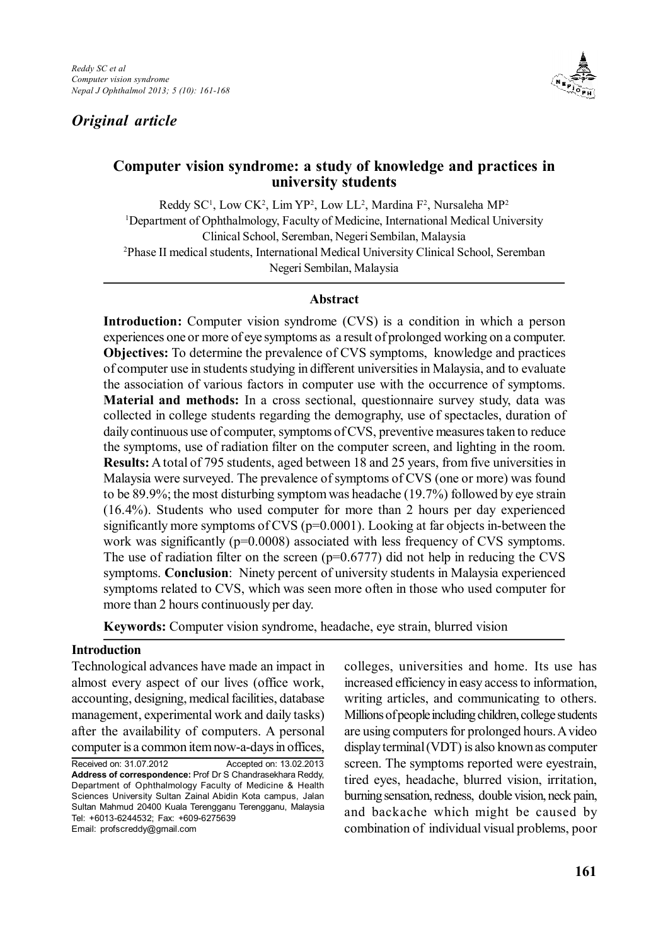# *Original article*



# **Computer vision syndrome: a study of knowledge and practices in university students**

Reddy SC<sup>1</sup>, Low CK<sup>2</sup>, Lim YP<sup>2</sup>, Low LL<sup>2</sup>, Mardina F<sup>2</sup>, Nursaleha MP<sup>2</sup> <sup>1</sup>Department of Ophthalmology, Faculty of Medicine, International Medical University Clinical School, Seremban, Negeri Sembilan, Malaysia <sup>2</sup>Phase II medical students, International Medical University Clinical School, Seremban Negeri Sembilan, Malaysia

#### **Abstract**

**Introduction:** Computer vision syndrome (CVS) is a condition in which a person experiences one or more of eye symptoms as a result of prolonged working on a computer. **Objectives:** To determine the prevalence of CVS symptoms, knowledge and practices of computer use in students studying in different universities in Malaysia, and to evaluate the association of various factors in computer use with the occurrence of symptoms. **Material and methods:** In a cross sectional, questionnaire survey study, data was collected in college students regarding the demography, use of spectacles, duration of daily continuous use of computer, symptoms of CVS, preventive measures taken to reduce the symptoms, use of radiation filter on the computer screen, and lighting in the room. **Results:** A total of 795 students, aged between 18 and 25 years, from five universities in Malaysia were surveyed. The prevalence of symptoms of CVS (one or more) was found to be 89.9%; the most disturbing symptom was headache (19.7%) followed by eye strain (16.4%). Students who used computer for more than 2 hours per day experienced significantly more symptoms of CVS (p=0.0001). Looking at far objects in-between the work was significantly ( $p=0.0008$ ) associated with less frequency of CVS symptoms. The use of radiation filter on the screen  $(p=0.6777)$  did not help in reducing the CVS symptoms. **Conclusion**: Ninety percent of university students in Malaysia experienced symptoms related to CVS, which was seen more often in those who used computer for more than 2 hours continuously per day.

**Keywords:** Computer vision syndrome, headache, eye strain, blurred vision

### **Introduction**

Technological advances have made an impact in almost every aspect of our lives (office work, accounting, designing, medical facilities, database management, experimental work and daily tasks) after the availability of computers. A personal computer is a common item now-a-days in offices,

Email: profscreddy@gmail.com

colleges, universities and home. Its use has increased efficiency in easy access to information, writing articles, and communicating to others. Millions of people including children, college students are using computers for prolonged hours. A video display terminal (VDT) is also known as computer screen. The symptoms reported were eyestrain, tired eyes, headache, blurred vision, irritation, burning sensation, redness, double vision, neck pain, and backache which might be caused by combination of individual visual problems, poor

Received on: 31.07.2012 Accepted on: 13.02.2013 **Address of correspondence:** Prof Dr S Chandrasekhara Reddy, Department of Ophthalmology Faculty of Medicine & Health Sciences University Sultan Zainal Abidin Kota campus, Jalan Sultan Mahmud 20400 Kuala Terengganu Terengganu, Malaysia Tel: +6013-6244532; Fax: +609-6275639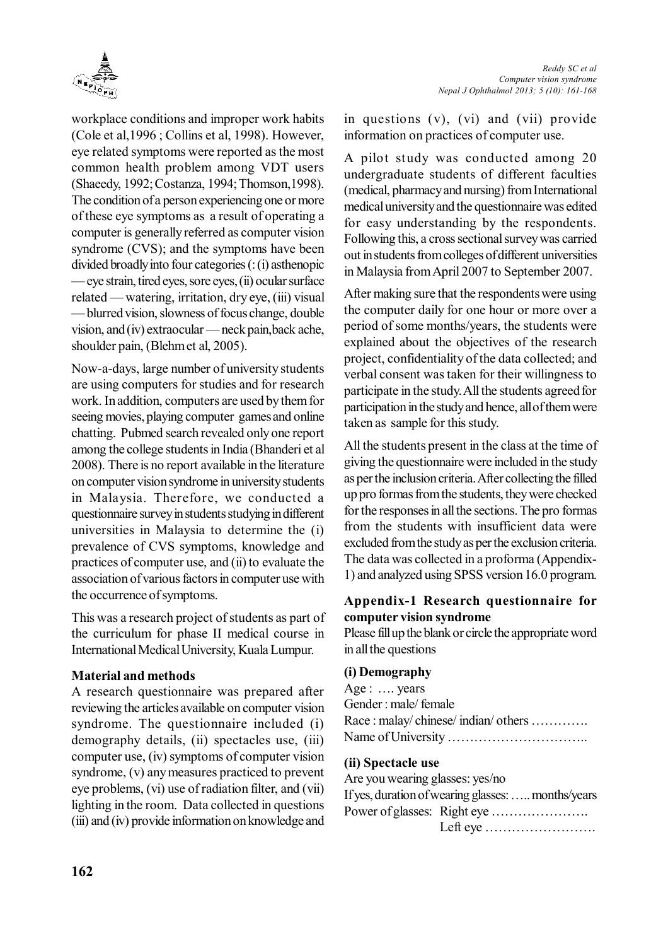

workplace conditions and improper work habits (Cole et al,1996 ; Collins et al, 1998). However, eye related symptoms were reported as the most common health problem among VDT users (Shaeedy, 1992; Costanza, 1994; Thomson,1998). The condition of a person experiencing one or more of these eye symptoms as a result of operating a computer is generally referred as computer vision syndrome (CVS); and the symptoms have been divided broadly into four categories (: (i) asthenopic — eye strain, tired eyes, sore eyes, (ii) ocular surface related — watering, irritation, dry eye, (iii) visual — blurred vision, slowness of focus change, double vision, and (iv) extraocular — neck pain,back ache, shoulder pain, (Blehm et al, 2005).

Now-a-days, large number of university students are using computers for studies and for research work. In addition, computers are used by them for seeing movies, playing computer games and online chatting. Pubmed search revealed only one report among the college students in India (Bhanderi et al 2008). There is no report available in the literature on computer vision syndrome in university students in Malaysia. Therefore, we conducted a questionnaire survey in students studying in different universities in Malaysia to determine the (i) prevalence of CVS symptoms, knowledge and practices of computer use, and (ii) to evaluate the association of various factors in computer use with the occurrence of symptoms.

This was a research project of students as part of the curriculum for phase II medical course in International Medical University, Kuala Lumpur.

### **Material and methods**

A research questionnaire was prepared after reviewing the articles available on computer vision syndrome. The questionnaire included (i) demography details, (ii) spectacles use, (iii) computer use, (iv) symptoms of computer vision syndrome, (v) any measures practiced to prevent eye problems, (vi) use of radiation filter, and (vii) lighting in the room. Data collected in questions (iii) and (iv) provide information on knowledge and in questions (v), (vi) and (vii) provide information on practices of computer use.

A pilot study was conducted among 20 undergraduate students of different faculties (medical, pharmacy and nursing) from International medical university and the questionnaire was edited for easy understanding by the respondents. Following this, a cross sectional survey was carried out in students from colleges of different universities in Malaysia from April 2007 to September 2007.

After making sure that the respondents were using the computer daily for one hour or more over a period of some months/years, the students were explained about the objectives of the research project, confidentiality of the data collected; and verbal consent was taken for their willingness to participate in the study. All the students agreed for participation in the study and hence, all of them were taken as sample for this study.

All the students present in the class at the time of giving the questionnaire were included in the study as per the inclusion criteria. After collecting the filled up pro formas from the students, they were checked for the responses in all the sections. The pro formas from the students with insufficient data were excluded from the study as per the exclusion criteria. The data was collected in a proforma (Appendix-1) and analyzed using SPSS version 16.0 program.

# **Appendix-1 Research questionnaire for computer vision syndrome**

Please fill up the blank or circle the appropriate word in all the questions

### **(i) Demography**

| Age :  years                      |
|-----------------------------------|
| Gender: male/female               |
| Race: malay/chinese/indian/others |
|                                   |

# **(ii) Spectacle use**

| Are you wearing glasses: yes/no |                                                    |
|---------------------------------|----------------------------------------------------|
|                                 | If yes, duration of wearing glasses:  months/years |
|                                 |                                                    |
|                                 |                                                    |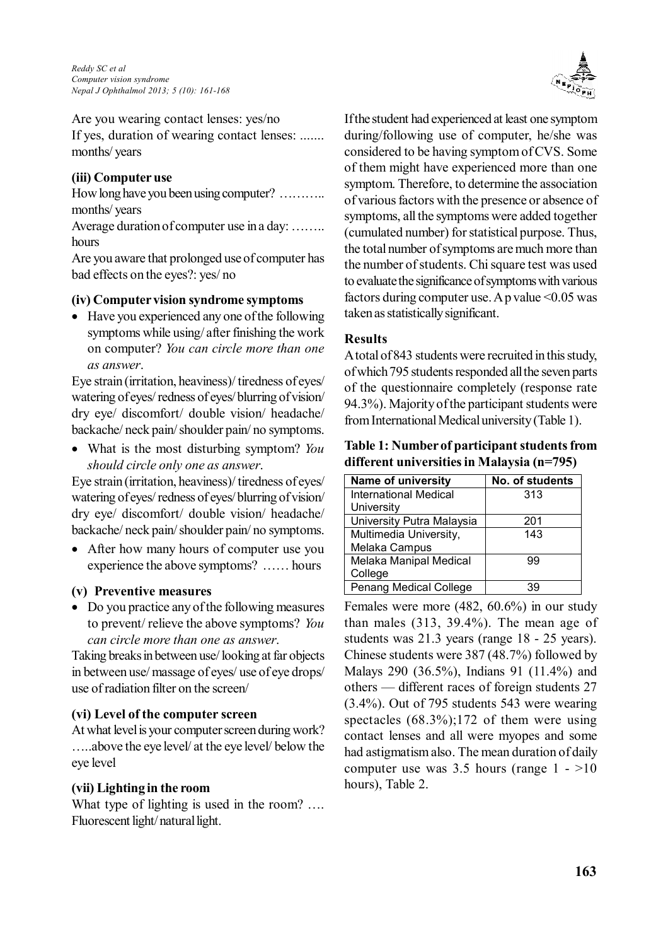Are you wearing contact lenses: yes/no If yes, duration of wearing contact lenses: ....... months/ years

# **(iii) Computer use**

How long have you been using computer? ……….. months/ years

Average duration of computer use in a day: …….. hours

Are you aware that prolonged use of computer has bad effects on the eyes?: yes/ no

## **(iv) Computer vision syndrome symptoms**

• Have you experienced any one of the following symptoms while using/ after finishing the work on computer? *You can circle more than one as answer*.

Eye strain (irritation, heaviness)/ tiredness of eyes/ watering of eyes/ redness of eyes/ blurring of vision/ dry eye/ discomfort/ double vision/ headache/ backache/ neck pain/ shoulder pain/ no symptoms.

 What is the most disturbing symptom? *You should circle only one as answer*.

Eye strain (irritation, heaviness)/ tiredness of eyes/ watering of eyes/ redness of eyes/ blurring of vision/ dry eye/ discomfort/ double vision/ headache/ backache/ neck pain/ shoulder pain/ no symptoms.

• After how many hours of computer use you experience the above symptoms? …… hours

# **(v) Preventive measures**

 Do you practice any of the following measures to prevent/ relieve the above symptoms? *You can circle more than one as answer*.

Taking breaks in between use/ looking at far objects in between use/ massage of eyes/ use of eye drops/ use of radiation filter on the screen/

# **(vi) Level of the computer screen**

At what level is your computer screen during work? …..above the eye level/ at the eye level/ below the eye level

# **(vii) Lighting in the room**

What type of lighting is used in the room? .... Fluorescent light/ natural light.



If the student had experienced at least one symptom during/following use of computer, he/she was considered to be having symptom of CVS. Some of them might have experienced more than one symptom. Therefore, to determine the association of various factors with the presence or absence of symptoms, all the symptoms were added together (cumulated number) for statistical purpose. Thus, the total number of symptoms are much more than the number of students. Chi square test was used to evaluate the significance of symptoms with various factors during computer use. A p value  $\leq 0.05$  was taken as statistically significant.

## **Results**

A total of 843 students were recruited in this study, of which 795 students responded all the seven parts of the questionnaire completely (response rate 94.3%). Majority of the participant students were from International Medical university (Table 1).

**Table 1: Number of participant students from different universities in Malaysia (n=795)**

| <b>Name of university</b> | No. of students |
|---------------------------|-----------------|
| International Medical     | 313             |
| University                |                 |
| University Putra Malaysia | 201             |
| Multimedia University,    | 143             |
| Melaka Campus             |                 |
| Melaka Manipal Medical    | 99              |
| College                   |                 |
| Penang Medical College    | 3q              |

Females were more (482, 60.6%) in our study than males (313, 39.4%). The mean age of students was 21.3 years (range 18 - 25 years). Chinese students were 387 (48.7%) followed by Malays 290 (36.5%), Indians 91 (11.4%) and others — different races of foreign students 27 (3.4%). Out of 795 students 543 were wearing spectacles (68.3%);172 of them were using contact lenses and all were myopes and some had astigmatism also. The mean duration of daily computer use was  $3.5$  hours (range  $1 - 10$ ) hours), Table 2.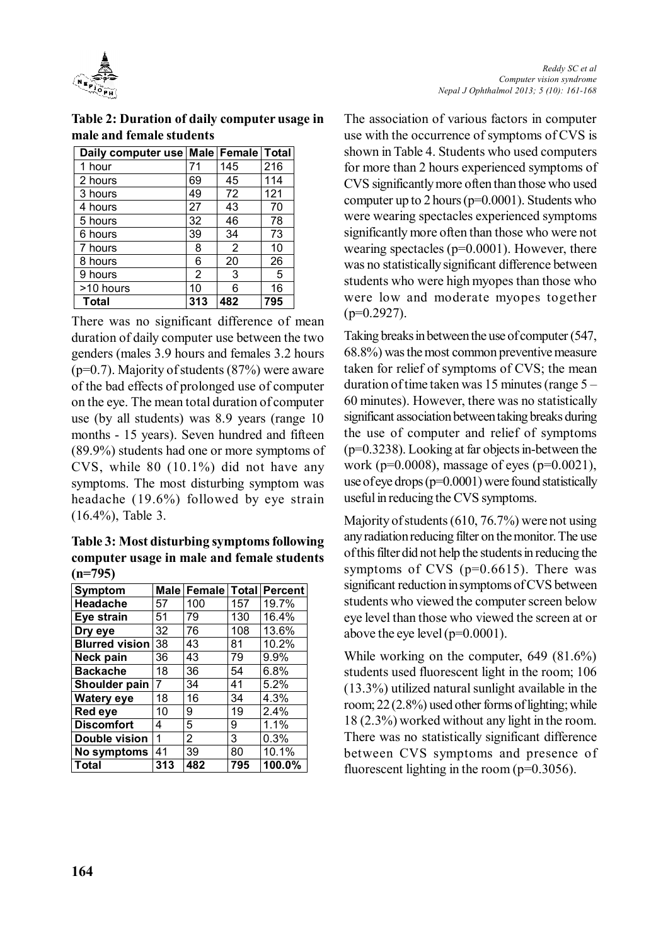

**Table 2: Duration of daily computer usage in male and female students**

| Daily computer use Male Female Total |     |                |     |
|--------------------------------------|-----|----------------|-----|
| 1 hour                               | 71  | 145            | 216 |
| 2 hours                              | 69  | 45             | 114 |
| 3 hours                              | 49  | 72             | 121 |
| 4 hours                              | 27  | 43             | 70  |
| 5 hours                              | 32  | 46             | 78  |
| 6 hours                              | 39  | 34             | 73  |
| 7 hours                              | 8   | $\overline{2}$ | 10  |
| 8 hours                              | 6   | 20             | 26  |
| 9 hours                              | 2   | 3              | 5   |
| >10 hours                            | 10  | 6              | 16  |
| Total                                | 313 | 482            | 795 |

There was no significant difference of mean duration of daily computer use between the two genders (males 3.9 hours and females 3.2 hours (p=0.7). Majority of students (87%) were aware of the bad effects of prolonged use of computer on the eye. The mean total duration of computer use (by all students) was 8.9 years (range 10 months - 15 years). Seven hundred and fifteen (89.9%) students had one or more symptoms of CVS, while 80 (10.1%) did not have any symptoms. The most disturbing symptom was headache (19.6%) followed by eye strain (16.4%), Table 3.

**Table 3: Most disturbing symptoms following computer usage in male and female students (n=795)**

| Symptom               |     | Male Female    |     | <b>Total Percent</b> |
|-----------------------|-----|----------------|-----|----------------------|
| Headache              | 57  | 100            | 157 | 19.7%                |
| Eye strain            | 51  | 79             | 130 | 16.4%                |
| Dry eye               | 32  | 76             | 108 | 13.6%                |
| <b>Blurred vision</b> | 38  | 43             | 81  | 10.2%                |
| Neck pain             | 36  | 43             | 79  | 9.9%                 |
| <b>Backache</b>       | 18  | 36             | 54  | 6.8%                 |
| Shoulder pain         | 7   | 34             | 41  | 5.2%                 |
| <b>Watery eye</b>     | 18  | 16             | 34  | 4.3%                 |
| Red eye               | 10  | 9              | 19  | 2.4%                 |
| <b>Discomfort</b>     | 4   | 5              | 9   | 1.1%                 |
| <b>Double vision</b>  | 1   | $\overline{2}$ | 3   | 0.3%                 |
| No symptoms           | 41  | 39             | 80  | 10.1%                |
| Total                 | 313 | 482            | 795 | 100.0%               |

The association of various factors in computer use with the occurrence of symptoms of CVS is shown in Table 4. Students who used computers for more than 2 hours experienced symptoms of CVS significantly more often than those who used computer up to 2 hours (p=0.0001). Students who were wearing spectacles experienced symptoms significantly more often than those who were not wearing spectacles (p=0.0001). However, there was no statistically significant difference between students who were high myopes than those who were low and moderate myopes together  $(p=0.2927)$ .

Taking breaks in between the use of computer (547, 68.8%) was the most common preventive measure taken for relief of symptoms of CVS; the mean duration of time taken was 15 minutes (range 5 – 60 minutes). However, there was no statistically significant association between taking breaks during the use of computer and relief of symptoms (p=0.3238). Looking at far objects in-between the work (p=0.0008), massage of eyes (p=0.0021), use of eye drops (p=0.0001) were found statistically useful in reducing the CVS symptoms.

Majority of students (610, 76.7%) were not using any radiation reducing filter on the monitor. The use of this filter did not help the students in reducing the symptoms of CVS  $(p=0.6615)$ . There was significant reduction in symptoms of CVS between students who viewed the computer screen below eye level than those who viewed the screen at or above the eye level (p=0.0001).

While working on the computer, 649 (81.6%) students used fluorescent light in the room; 106 (13.3%) utilized natural sunlight available in the room; 22 (2.8%) used other forms of lighting; while 18 (2.3%) worked without any light in the room. There was no statistically significant difference between CVS symptoms and presence of fluorescent lighting in the room  $(p=0.3056)$ .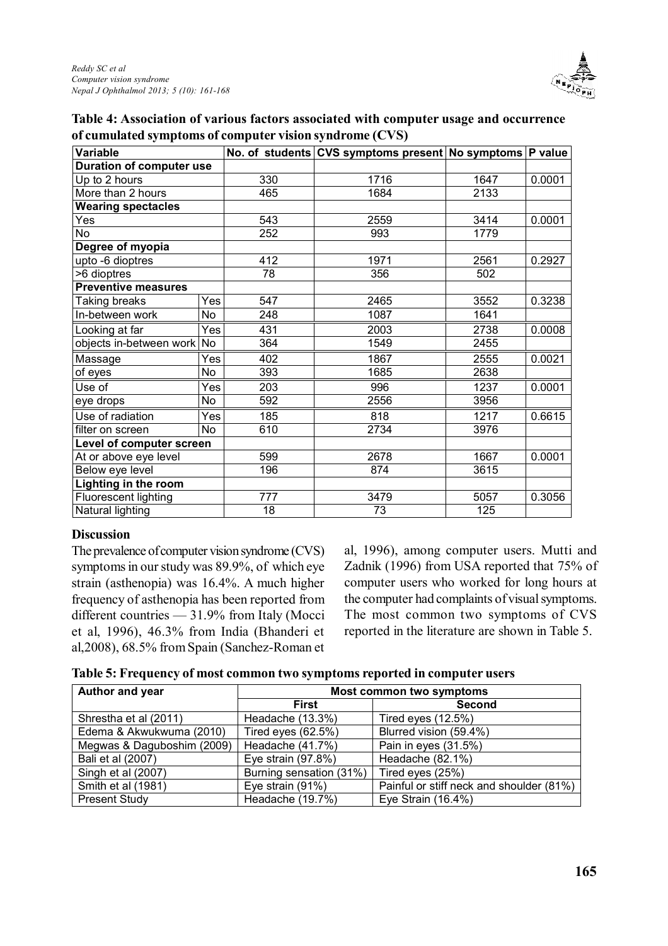

| Variable                        |            |     | No. of students CVS symptoms present No symptoms P value |      |        |
|---------------------------------|------------|-----|----------------------------------------------------------|------|--------|
| <b>Duration of computer use</b> |            |     |                                                          |      |        |
| Up to 2 hours                   |            | 330 | 1716                                                     | 1647 | 0.0001 |
| More than 2 hours               |            | 465 | 1684                                                     | 2133 |        |
| <b>Wearing spectacles</b>       |            |     |                                                          |      |        |
| Yes                             |            | 543 | 2559                                                     | 3414 | 0.0001 |
| <b>No</b>                       |            | 252 | 993                                                      | 1779 |        |
| Degree of myopia                |            |     |                                                          |      |        |
| upto -6 dioptres                |            | 412 | 1971                                                     | 2561 | 0.2927 |
| >6 dioptres                     |            | 78  | 356                                                      | 502  |        |
| <b>Preventive measures</b>      |            |     |                                                          |      |        |
| Taking breaks                   | Yes        | 547 | 2465                                                     | 3552 | 0.3238 |
| In-between work                 | No         | 248 | 1087                                                     | 1641 |        |
| Looking at far                  | <b>Yes</b> | 431 | 2003                                                     | 2738 | 0.0008 |
| objects in-between work No      |            | 364 | 1549                                                     | 2455 |        |
| Massage                         | Yes        | 402 | 1867                                                     | 2555 | 0.0021 |
| of eyes                         | No         | 393 | 1685                                                     | 2638 |        |
| Use of                          | Yes        | 203 | 996                                                      | 1237 | 0.0001 |
| eye drops                       | No         | 592 | 2556                                                     | 3956 |        |
| Use of radiation                | Yes        | 185 | 818                                                      | 1217 | 0.6615 |
| filter on screen                | <b>No</b>  | 610 | 2734                                                     | 3976 |        |
| Level of computer screen        |            |     |                                                          |      |        |
| At or above eye level           |            | 599 | 2678                                                     | 1667 | 0.0001 |
| Below eye level                 |            | 196 | 874                                                      | 3615 |        |
| Lighting in the room            |            |     |                                                          |      |        |
| Fluorescent lighting            |            | 777 | 3479                                                     | 5057 | 0.3056 |
| Natural lighting                |            | 18  | 73                                                       | 125  |        |

| Table 4: Association of various factors associated with computer usage and occurrence |  |
|---------------------------------------------------------------------------------------|--|
| of cumulated symptoms of computer vision syndrome (CVS)                               |  |

## **Discussion**

The prevalence of computer vision syndrome (CVS) symptoms in our study was 89.9%, of which eye strain (asthenopia) was 16.4%. A much higher frequency of asthenopia has been reported from different countries — 31.9% from Italy (Mocci et al, 1996), 46.3% from India (Bhanderi et al,2008), 68.5% from Spain (Sanchez-Roman et

al, 1996), among computer users. Mutti and Zadnik (1996) from USA reported that 75% of computer users who worked for long hours at the computer had complaints of visual symptoms. The most common two symptoms of CVS reported in the literature are shown in Table 5.

|  |  |  | Table 5: Frequency of most common two symptoms reported in computer users |
|--|--|--|---------------------------------------------------------------------------|
|  |  |  |                                                                           |

| Author and year            | Most common two symptoms |                                          |  |  |
|----------------------------|--------------------------|------------------------------------------|--|--|
|                            | <b>First</b>             | Second                                   |  |  |
| Shrestha et al (2011)      | Headache (13.3%)         | Tired eyes (12.5%)                       |  |  |
| Edema & Akwukwuma (2010)   | Tired eyes (62.5%)       | Blurred vision (59.4%)                   |  |  |
| Megwas & Daguboshim (2009) | Headache (41.7%)         | Pain in eyes (31.5%)                     |  |  |
| Bali et al (2007)          | Eye strain (97.8%)       | Headache (82.1%)                         |  |  |
| Singh et al (2007)         | Burning sensation (31%)  | Tired eyes (25%)                         |  |  |
| Smith et al (1981)         | Eye strain (91%)         | Painful or stiff neck and shoulder (81%) |  |  |
| <b>Present Study</b>       | Headache (19.7%)         | Eye Strain (16.4%)                       |  |  |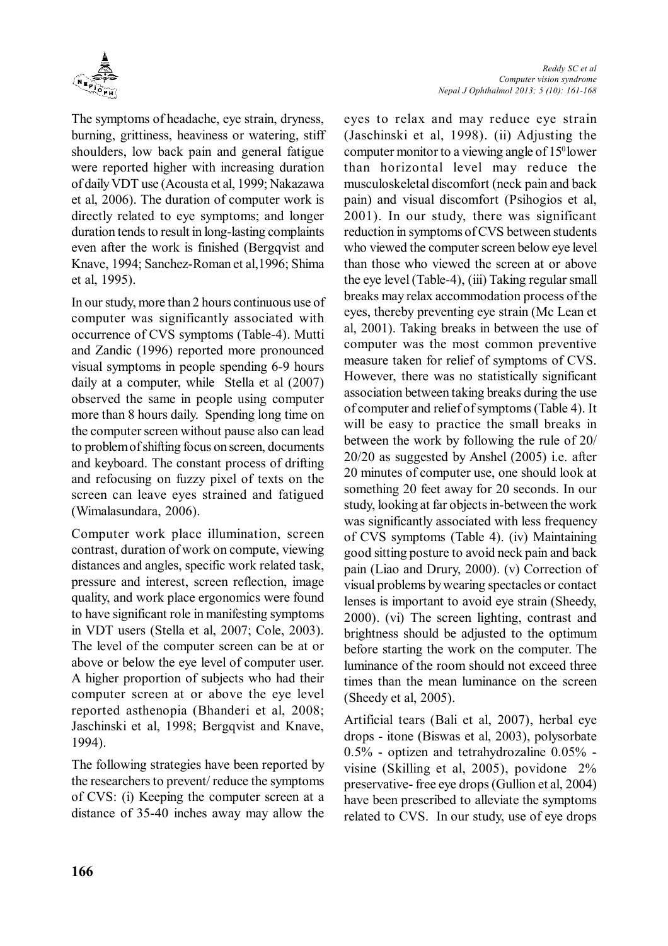

The symptoms of headache, eye strain, dryness, burning, grittiness, heaviness or watering, stiff shoulders, low back pain and general fatigue were reported higher with increasing duration of daily VDT use (Acousta et al, 1999; Nakazawa et al, 2006). The duration of computer work is directly related to eye symptoms; and longer duration tends to result in long-lasting complaints even after the work is finished (Bergqvist and Knave, 1994; Sanchez-Roman et al,1996; Shima et al, 1995).

In our study, more than 2 hours continuous use of computer was significantly associated with occurrence of CVS symptoms (Table-4). Mutti and Zandic (1996) reported more pronounced visual symptoms in people spending 6-9 hours daily at a computer, while Stella et al (2007) observed the same in people using computer more than 8 hours daily. Spending long time on the computer screen without pause also can lead to problem of shifting focus on screen, documents and keyboard. The constant process of drifting and refocusing on fuzzy pixel of texts on the screen can leave eyes strained and fatigued (Wimalasundara, 2006).

Computer work place illumination, screen contrast, duration of work on compute, viewing distances and angles, specific work related task, pressure and interest, screen reflection, image quality, and work place ergonomics were found to have significant role in manifesting symptoms in VDT users (Stella et al, 2007; Cole, 2003). The level of the computer screen can be at or above or below the eye level of computer user. A higher proportion of subjects who had their computer screen at or above the eye level reported asthenopia (Bhanderi et al, 2008; Jaschinski et al, 1998; Bergqvist and Knave, 1994).

The following strategies have been reported by the researchers to prevent/ reduce the symptoms of CVS: (i) Keeping the computer screen at a distance of 35-40 inches away may allow the eyes to relax and may reduce eye strain (Jaschinski et al, 1998). (ii) Adjusting the computer monitor to a viewing angle of 15<sup>0</sup>lower than horizontal level may reduce the musculoskeletal discomfort (neck pain and back pain) and visual discomfort (Psihogios et al, 2001). In our study, there was significant reduction in symptoms of CVS between students who viewed the computer screen below eye level than those who viewed the screen at or above the eye level (Table-4), (iii) Taking regular small breaks may relax accommodation process of the eyes, thereby preventing eye strain (Mc Lean et al, 2001). Taking breaks in between the use of computer was the most common preventive measure taken for relief of symptoms of CVS. However, there was no statistically significant association between taking breaks during the use of computer and relief of symptoms (Table 4). It will be easy to practice the small breaks in between the work by following the rule of 20/ 20/20 as suggested by Anshel (2005) i.e. after 20 minutes of computer use, one should look at something 20 feet away for 20 seconds. In our study, looking at far objects in-between the work was significantly associated with less frequency of CVS symptoms (Table 4). (iv) Maintaining good sitting posture to avoid neck pain and back pain (Liao and Drury, 2000). (v) Correction of visual problems by wearing spectacles or contact lenses is important to avoid eye strain (Sheedy, 2000). (vi) The screen lighting, contrast and brightness should be adjusted to the optimum before starting the work on the computer. The luminance of the room should not exceed three times than the mean luminance on the screen (Sheedy et al, 2005).

Artificial tears (Bali et al, 2007), herbal eye drops - itone (Biswas et al, 2003), polysorbate 0.5% - optizen and tetrahydrozaline 0.05% visine (Skilling et al, 2005), povidone 2% preservative- free eye drops (Gullion et al, 2004) have been prescribed to alleviate the symptoms related to CVS. In our study, use of eye drops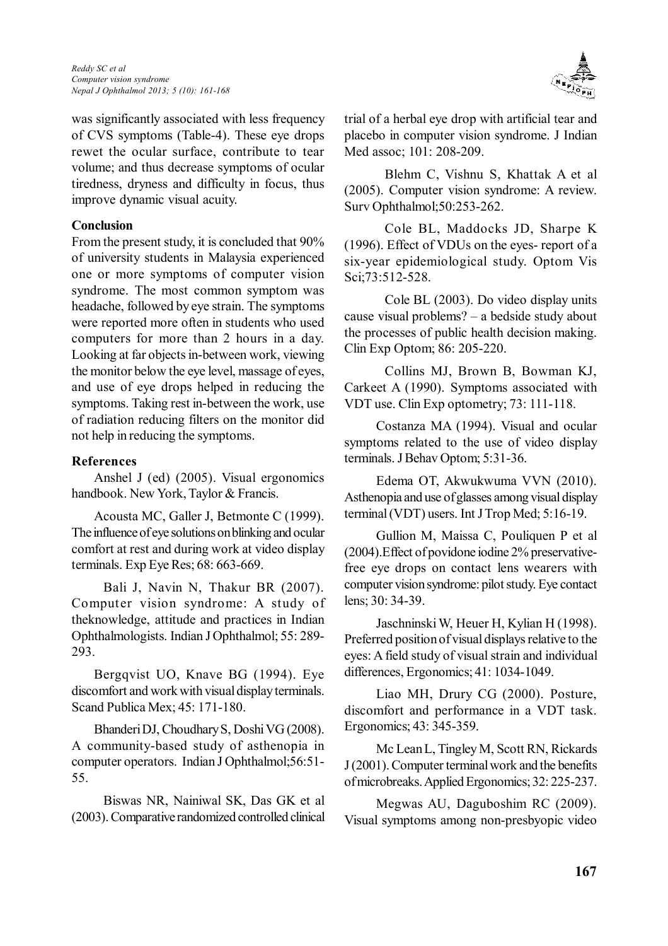

was significantly associated with less frequency of CVS symptoms (Table-4). These eye drops rewet the ocular surface, contribute to tear volume; and thus decrease symptoms of ocular tiredness, dryness and difficulty in focus, thus improve dynamic visual acuity.

## **Conclusion**

From the present study, it is concluded that 90% of university students in Malaysia experienced one or more symptoms of computer vision syndrome. The most common symptom was headache, followed by eye strain. The symptoms were reported more often in students who used computers for more than 2 hours in a day. Looking at far objects in-between work, viewing the monitor below the eye level, massage of eyes, and use of eye drops helped in reducing the symptoms. Taking rest in-between the work, use of radiation reducing filters on the monitor did not help in reducing the symptoms.

# **References**

Anshel J (ed) (2005). Visual ergonomics handbook. New York, Taylor & Francis.

Acousta MC, Galler J, Betmonte C (1999). The influence of eye solutions on blinking and ocular comfort at rest and during work at video display terminals. Exp Eye Res; 68: 663-669.

Bali J, Navin N, Thakur BR (2007). Computer vision syndrome: A study of theknowledge, attitude and practices in Indian Ophthalmologists. Indian J Ophthalmol; 55: 289- 293.

Bergqvist UO, Knave BG (1994). Eye discomfort and work with visual display terminals. Scand Publica Mex; 45: 171-180.

Bhanderi DJ, Choudhary S, Doshi VG (2008). A community-based study of asthenopia in computer operators. Indian J Ophthalmol;56:51- 55.

Biswas NR, Nainiwal SK, Das GK et al (2003). Comparative randomized controlled clinical trial of a herbal eye drop with artificial tear and placebo in computer vision syndrome. J Indian Med assoc; 101: 208-209.

Blehm C, Vishnu S, Khattak A et al (2005). Computer vision syndrome: A review. Surv Ophthalmol;50:253-262.

Cole BL, Maddocks JD, Sharpe K (1996). Effect of VDUs on the eyes- report of a six-year epidemiological study. Optom Vis Sci;73:512-528.

Cole BL (2003). Do video display units cause visual problems? – a bedside study about the processes of public health decision making. Clin Exp Optom; 86: 205-220.

Collins MJ, Brown B, Bowman KJ, Carkeet A (1990). Symptoms associated with VDT use. Clin Exp optometry; 73: 111-118.

Costanza MA (1994). Visual and ocular symptoms related to the use of video display terminals. J Behav Optom; 5:31-36.

Edema OT, Akwukwuma VVN (2010). Asthenopia and use of glasses among visual display terminal (VDT) users. Int J Trop Med; 5:16-19.

Gullion M, Maissa C, Pouliquen P et al (2004).Effect of povidone iodine 2% preservativefree eye drops on contact lens wearers with computer vision syndrome: pilot study. Eye contact lens; 30: 34-39.

Jaschninski W, Heuer H, Kylian H (1998). Preferred position of visual displays relative to the eyes: A field study of visual strain and individual differences, Ergonomics; 41: 1034-1049.

Liao MH, Drury CG (2000). Posture, discomfort and performance in a VDT task. Ergonomics; 43: 345-359.

Mc Lean L, Tingley M, Scott RN, Rickards J (2001). Computer terminal work and the benefits of microbreaks. Applied Ergonomics; 32: 225-237.

Megwas AU, Daguboshim RC (2009). Visual symptoms among non-presbyopic video